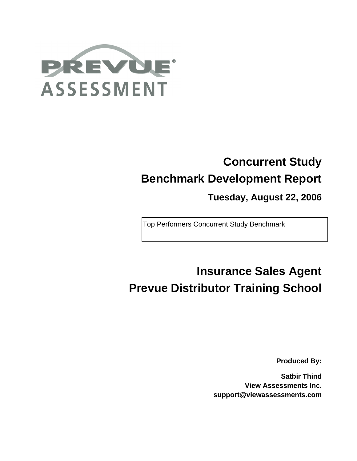

# **Concurrent Study Benchmark Development Report**

**Tuesday, August 22, 2006**

Top Performers Concurrent Study Benchmark

# **Insurance Sales Agent Prevue Distributor Training School**

**Produced By:**

**Satbir Thind View Assessments Inc. support@viewassessments.com**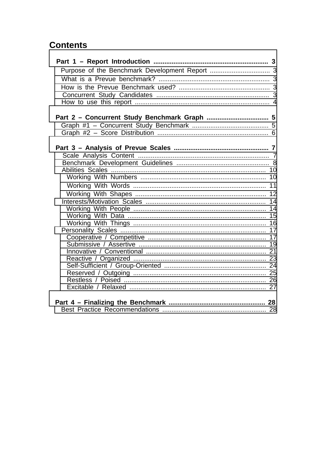# **Contents**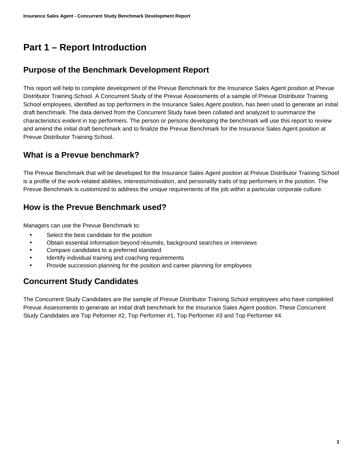# **Part 1 – Report Introduction**

# <span id="page-2-0"></span>**Purpose of the Benchmark Development Report**

<span id="page-2-1"></span>This report will help to complete development of the Prevue Benchmark for the Insurance Sales Agent position at Prevue Distributor Training School. A Concurrent Study of the Prevue Assessments of a sample of Prevue Distributor Training School employees, identified as top performers in the Insurance Sales Agent position, has been used to generate an initial draft benchmark. The data derived from the Concurrent Study have been collated and analyzed to summarize the characteristics evident in top performers. The person or persons developing the benchmark will use this report to review and amend the initial draft benchmark and to finalize the Prevue Benchmark for the Insurance Sales Agent position at Prevue Distributor Training School.

# **What is a Prevue benchmark?**

<span id="page-2-2"></span>The Prevue Benchmark that will be developed for the Insurance Sales Agent position at Prevue Distributor Training School is a profile of the work-related abilities, interests/motivation, and personality traits of top performers in the position. The Prevue Benchmark is customized to address the unique requirements of the job within a particular corporate culture.

# **How is the Prevue Benchmark used?**

Managers can use the Prevue Benchmark to:

- <span id="page-2-3"></span>Select the best candidate for the position
- Obtain essential information beyond résumés, background searches or interviews
- Compare candidates to a preferred standard
- Identify individual training and coaching requirements
- Provide succession planning for the position and career planning for employees

# **Concurrent Study Candidates**

<span id="page-2-4"></span>The Concurrent Study Candidates are the sample of Prevue Distributor Training School employees who have completed Prevue Assessments to generate an initial draft benchmark for the Insurance Sales Agent position. These Concurrent Study Candidates are Top Peformer #2, Top Performer #1, Top Performer #3 and Top Performer #4.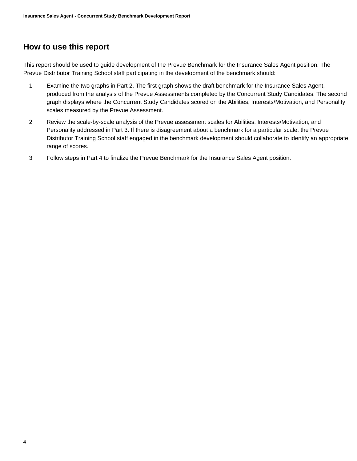### **How to use this report**

<span id="page-3-0"></span>This report should be used to guide development of the Prevue Benchmark for the Insurance Sales Agent position. The Prevue Distributor Training School staff participating in the development of the benchmark should:

- 1 Examine the two graphs in Part 2. The first graph shows the draft benchmark for the Insurance Sales Agent, produced from the analysis of the Prevue Assessments completed by the Concurrent Study Candidates. The second graph displays where the Concurrent Study Candidates scored on the Abilities, Interests/Motivation, and Personality scales measured by the Prevue Assessment.
- 2 Review the scale-by-scale analysis of the Prevue assessment scales for Abilities, Interests/Motivation, and Personality addressed in Part 3. If there is disagreement about a benchmark for a particular scale, the Prevue Distributor Training School staff engaged in the benchmark development should collaborate to identify an appropriate range of scores.
- 3 Follow steps in Part 4 to finalize the Prevue Benchmark for the Insurance Sales Agent position.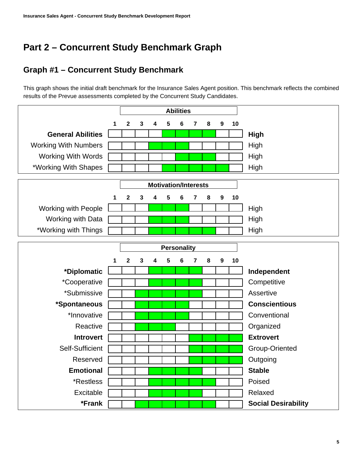# **Part 2 – Concurrent Study Benchmark Graph**

# <span id="page-4-0"></span>**Graph #1 – Concurrent Study Benchmark**

<span id="page-4-1"></span>This graph shows the initial draft benchmark for the Insurance Sales Agent position. This benchmark reflects the combined results of the Prevue assessments completed by the Concurrent Study Candidates.

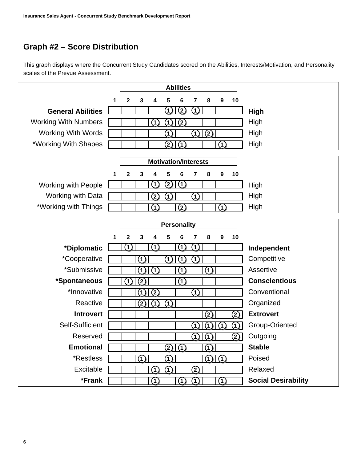# **Graph #2 – Score Distribution**

<span id="page-5-0"></span>This graph displays where the Concurrent Study Candidates scored on the Abilities, Interests/Motivation, and Personality scales of the Prevue Assessment.

|                             |   | <b>Abilities</b> |                   |                                |                    |                   |               |                   |                                |                   |                            |
|-----------------------------|---|------------------|-------------------|--------------------------------|--------------------|-------------------|---------------|-------------------|--------------------------------|-------------------|----------------------------|
|                             | 1 | 2                | 3                 | 4                              | 5                  | 6                 | 7             | 8                 | 9                              | 10                |                            |
| <b>General Abilities</b>    |   |                  |                   |                                | (1)                | (2)               | (1)           |                   |                                |                   | <b>High</b>                |
| <b>Working With Numbers</b> |   |                  |                   | (1)                            | $\mathbf{1}$       | (2)               |               |                   |                                |                   | High                       |
| <b>Working With Words</b>   |   |                  |                   |                                | $\left( 1\right)$  |                   | (1)           | $\left( 2\right)$ |                                |                   | High                       |
| *Working With Shapes        |   |                  |                   |                                | $\left( 2\right)$  | $\vert$ (1)       |               |                   | (1)                            |                   | High                       |
|                             |   |                  |                   | <b>Motivation/Interests</b>    |                    |                   |               |                   |                                |                   |                            |
|                             |   |                  |                   |                                |                    |                   |               |                   |                                |                   |                            |
|                             | 1 | $\mathbf{2}$     | 3                 | 4                              | 5                  | 6                 | 7             | 8                 | 9                              | 10                |                            |
| <b>Working with People</b>  |   |                  |                   | (1)                            | (2)                | $\hat{P}$         |               |                   |                                |                   | High                       |
| Working with Data           |   |                  |                   | $\left( 2\right)$              | 1                  |                   | (1)           |                   |                                |                   | High                       |
| *Working with Things        |   |                  |                   | (1)                            |                    | $\rm(2)$          |               |                   | (1)                            |                   | High                       |
|                             |   |                  |                   |                                | <b>Personality</b> |                   |               |                   |                                |                   |                            |
|                             | 1 | 2                | 3                 | 4                              | 5                  | 6                 | 7             | 8                 | 9                              | 10                |                            |
| *Diplomatic                 |   | (1)              |                   | $\mathbf{1}$                   |                    | $\left( 1\right)$ | (1)           |                   |                                |                   | Independent                |
| *Cooperative                |   |                  | (1                |                                | 1                  | $\mathbf{1}$      | (1)           |                   |                                |                   | Competitive                |
| *Submissive                 |   |                  | (1)               | (1)                            |                    | (1)               |               | $\left( 1\right)$ |                                |                   | Assertive                  |
| *Spontaneous                |   | (1)              | $\left( 2\right)$ |                                |                    | $\ddot{v}$        |               |                   |                                |                   | <b>Conscientious</b>       |
| *Innovative                 |   |                  | (1                | $\left( 2\right)$              |                    |                   | 4             |                   |                                |                   | Conventional               |
| Reactive                    |   |                  | (2)               | (1)                            | (1)                |                   |               |                   |                                |                   | Organized                  |
| <b>Introvert</b>            |   |                  |                   |                                |                    |                   |               | (2)               |                                | (2)               | <b>Extrovert</b>           |
| Self-Sufficient             |   |                  |                   |                                |                    |                   | (1)           | 1                 |                                | (1                | Group-Oriented             |
| Reserved                    |   |                  |                   |                                |                    |                   | (1)           | (1)               |                                | $\left( 2\right)$ | Outgoing                   |
| <b>Emotional</b>            |   |                  |                   |                                | (2)                | (1)               |               | $\left( 1\right)$ |                                |                   | <b>Stable</b>              |
| *Restless                   |   |                  | $\Omega$          |                                | (1)                |                   |               |                   | $\Omega$                       |                   | Poised                     |
| Excitable                   |   |                  |                   | (1)                            | (1)                |                   | $\circled{2}$ |                   |                                |                   | Relaxed                    |
| *Frank                      |   |                  |                   | $\textcircled{\scriptsize{1}}$ |                    | (1)               | $\Omega$      |                   | $\textcircled{\scriptsize{1}}$ |                   | <b>Social Desirability</b> |
|                             |   |                  |                   |                                |                    |                   |               |                   |                                |                   |                            |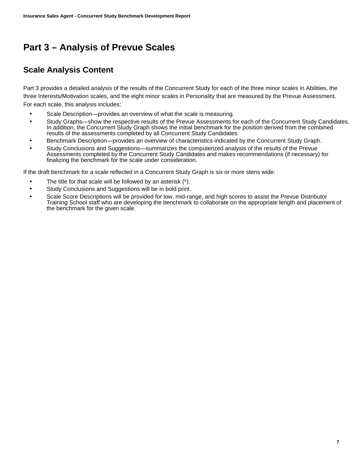# **Part 3 – Analysis of Prevue Scales**

# <span id="page-6-0"></span>**Scale Analysis Content**

<span id="page-6-1"></span>Part 3 provides a detailed analysis of the results of the Concurrent Study for each of the three minor scales in Abilities, the three Interests/Motivation scales, and the eight minor scales in Personality that are measured by the Prevue Assessment. For each scale, this analysis includes:

- Scale Description—provides an overview of what the scale is measuring.
- Study Graphs—show the respective results of the Prevue Assessments for each of the Concurrent Study Candidates. In addition, the Concurrent Study Graph shows the initial benchmark for the position derived from the combined results of the assessments completed by all Concurrent Study Candidates.
- Benchmark Description—provides an overview of characteristics indicated by the Concurrent Study Graph.
- Study Conclusions and Suggestions—summarizes the computerized analysis of the results of the Prevue Assessments completed by the Concurrent Study Candidates and makes recommendations (if necessary) for finalizing the benchmark for the scale under consideration.

If the draft benchmark for a scale reflected in a Concurrent Study Graph is six or more stens wide:

- The title for that scale will be followed by an asterisk (\*).
- Study Conclusions and Suggestions will be in bold print.
- Scale Score Descriptions will be provided for low, mid-range, and high scores to assist the Prevue Distributor Training School staff who are developing the benchmark to collaborate on the appropriate length and placement of the benchmark for the given scale.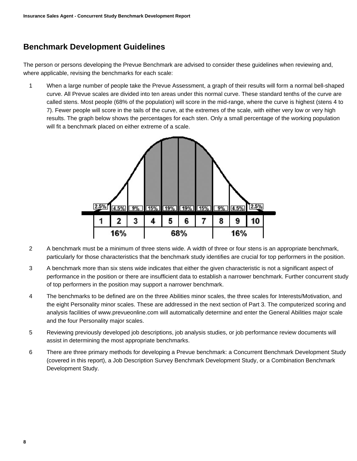# **Benchmark Development Guidelines**

<span id="page-7-0"></span>The person or persons developing the Prevue Benchmark are advised to consider these guidelines when reviewing and, where applicable, revising the benchmarks for each scale:

1 When a large number of people take the Prevue Assessment, a graph of their results will form a normal bell-shaped curve. All Prevue scales are divided into ten areas under this normal curve. These standard tenths of the curve are called stens. Most people (68% of the population) will score in the mid-range, where the curve is highest (stens 4 to 7). Fewer people will score in the tails of the curve, at the extremes of the scale, with either very low or very high results. The graph below shows the percentages for each sten. Only a small percentage of the working population will fit a benchmark placed on either extreme of a scale.



- 2 A benchmark must be a minimum of three stens wide. A width of three or four stens is an appropriate benchmark, particularly for those characteristics that the benchmark study identifies are crucial for top performers in the position.
- 3 A benchmark more than six stens wide indicates that either the given characteristic is not a significant aspect of performance in the position or there are insufficient data to establish a narrower benchmark. Further concurrent study of top performers in the position may support a narrower benchmark.
- 4 The benchmarks to be defined are on the three Abilities minor scales, the three scales for Interests/Motivation, and the eight Personality minor scales. These are addressed in the next section of Part 3. The computerized scoring and analysis facilities of www.prevueonline.com will automatically determine and enter the General Abilities major scale and the four Personality major scales.
- 5 Reviewing previously developed job descriptions, job analysis studies, or job performance review documents will assist in determining the most appropriate benchmarks.
- 6 There are three primary methods for developing a Prevue benchmark: a Concurrent Benchmark Development Study (covered in this report), a Job Description Survey Benchmark Development Study, or a Combination Benchmark Development Study.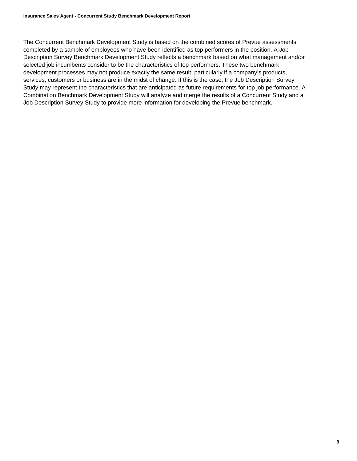The Concurrent Benchmark Development Study is based on the combined scores of Prevue assessments completed by a sample of employees who have been identified as top performers in the position. A Job Description Survey Benchmark Development Study reflects a benchmark based on what management and/or selected job incumbents consider to be the characteristics of top performers. These two benchmark development processes may not produce exactly the same result, particularly if a company's products, services, customers or business are in the midst of change. If this is the case, the Job Description Survey Study may represent the characteristics that are anticipated as future requirements for top job performance. A Combination Benchmark Development Study will analyze and merge the results of a Concurrent Study and a Job Description Survey Study to provide more information for developing the Prevue benchmark.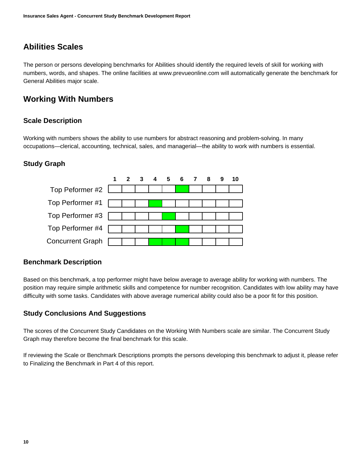# **Abilities Scales**

<span id="page-9-0"></span>The person or persons developing benchmarks for Abilities should identify the required levels of skill for working with numbers, words, and shapes. The online facilities at www.prevueonline.com will automatically generate the benchmark for General Abilities major scale.

# **Working With Numbers**

#### <span id="page-9-1"></span>**Scale Description**

Working with numbers shows the ability to use numbers for abstract reasoning and problem-solving. In many occupations—clerical, accounting, technical, sales, and managerial—the ability to work with numbers is essential.

#### **Study Graph**



#### **Benchmark Description**

Based on this benchmark, a top performer might have below average to average ability for working with numbers. The position may require simple arithmetic skills and competence for number recognition. Candidates with low ability may have difficulty with some tasks. Candidates with above average numerical ability could also be a poor fit for this position.

#### **Study Conclusions And Suggestions**

The scores of the Concurrent Study Candidates on the Working With Numbers scale are similar. The Concurrent Study Graph may therefore become the final benchmark for this scale.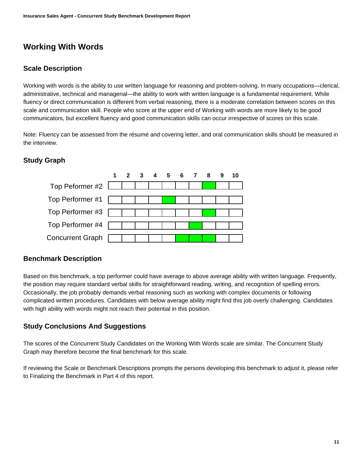# **Working With Words**

#### <span id="page-10-0"></span>**Scale Description**

Working with words is the ability to use written language for reasoning and problem-solving. In many occupations—clerical, administrative, technical and managerial—the ability to work with written language is a fundamental requirement. While fluency or direct communication is different from verbal reasoning, there is a moderate correlation between scores on this scale and communication skill. People who score at the upper end of Working with words are more likely to be good communicators, but excellent fluency and good communication skills can occur irrespective of scores on this scale.

Note: Fluency can be assessed from the résumé and covering letter, and oral communication skills should be measured in the interview.

#### **Study Graph**



#### **Benchmark Description**

Based on this benchmark, a top performer could have average to above average ability with written language. Frequently, the position may require standard verbal skills for straightforward reading, writing, and recognition of spelling errors. Occasionally, the job probably demands verbal reasoning such as working with complex documents or following complicated written procedures. Candidates with below average ability might find this job overly challenging. Candidates with high ability with words might not reach their potential in this position.

#### **Study Conclusions And Suggestions**

The scores of the Concurrent Study Candidates on the Working With Words scale are similar. The Concurrent Study Graph may therefore become the final benchmark for this scale.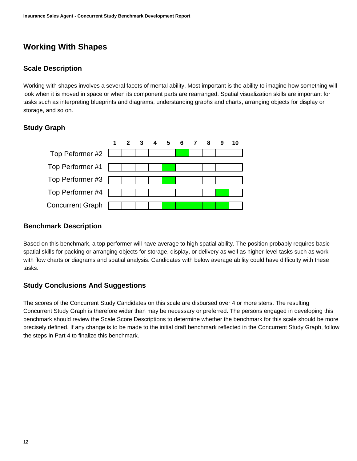# **Working With Shapes**

#### <span id="page-11-0"></span>**Scale Description**

Working with shapes involves a several facets of mental ability. Most important is the ability to imagine how something will look when it is moved in space or when its component parts are rearranged. Spatial visualization skills are important for tasks such as interpreting blueprints and diagrams, understanding graphs and charts, arranging objects for display or storage, and so on.

#### **Study Graph**

![](_page_11_Figure_5.jpeg)

#### **Benchmark Description**

Based on this benchmark, a top performer will have average to high spatial ability. The position probably requires basic spatial skills for packing or arranging objects for storage, display, or delivery as well as higher-level tasks such as work with flow charts or diagrams and spatial analysis. Candidates with below average ability could have difficulty with these tasks.

#### **Study Conclusions And Suggestions**

The scores of the Concurrent Study Candidates on this scale are disbursed over 4 or more stens. The resulting Concurrent Study Graph is therefore wider than may be necessary or preferred. The persons engaged in developing this benchmark should review the Scale Score Descriptions to determine whether the benchmark for this scale should be more precisely defined. If any change is to be made to the initial draft benchmark reflected in the Concurrent Study Graph, follow the steps in Part 4 to finalize this benchmark.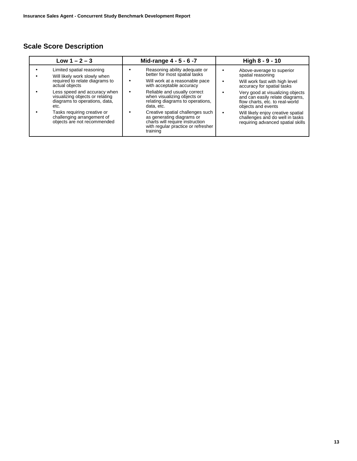| Limited spatial reasoning<br>Reasoning ability adequate or<br>Above-average to superior<br>better for most spatial tasks<br>spatial reasoning<br>Will likely work slowly when<br>required to relate diagrams to<br>Will work at a reasonable pace<br>Will work fast with high level<br>actual objects<br>with acceptable accuracy<br>accuracy for spatial tasks                                                                                                                                   | Low $1 - 2 - 3$ | Mid-range 4 - 5 - 6 -7 | High 8 - 9 - 10                                                                                                                                                                                                      |
|---------------------------------------------------------------------------------------------------------------------------------------------------------------------------------------------------------------------------------------------------------------------------------------------------------------------------------------------------------------------------------------------------------------------------------------------------------------------------------------------------|-----------------|------------------------|----------------------------------------------------------------------------------------------------------------------------------------------------------------------------------------------------------------------|
| Less speed and accuracy when<br>Reliable and usually correct<br>visualizing objects or relating<br>when visualizing objects or<br>diagrams to operations, data,<br>relating diagrams to operations,<br>data, etc.<br>etc.<br>objects and events<br>Tasks requiring creative or<br>Creative spatial challenges such<br>as generating diagrams or<br>challenging arrangement of<br>charts will require instruction<br>objects are not recommended<br>with regular practice or refresher<br>training |                 |                        | Very good at visualizing objects<br>and can easily relate diagrams,<br>flow charts, etc. to real-world<br>Will likely enjoy creative spatial<br>challenges and do well in tasks<br>requiring advanced spatial skills |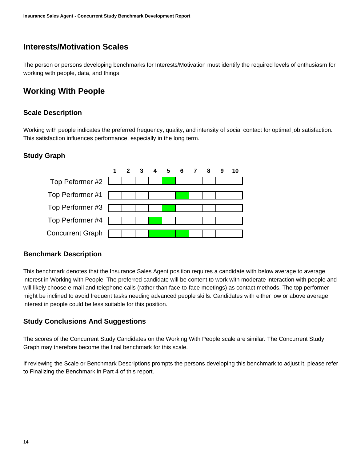### **Interests/Motivation Scales**

<span id="page-13-0"></span>The person or persons developing benchmarks for Interests/Motivation must identify the required levels of enthusiasm for working with people, data, and things.

# **Working With People**

#### <span id="page-13-1"></span>**Scale Description**

Working with people indicates the preferred frequency, quality, and intensity of social contact for optimal job satisfaction. This satisfaction influences performance, especially in the long term.

#### **Study Graph**

![](_page_13_Figure_7.jpeg)

#### **Benchmark Description**

This benchmark denotes that the Insurance Sales Agent position requires a candidate with below average to average interest in Working with People. The preferred candidate will be content to work with moderate interaction with people and will likely choose e-mail and telephone calls (rather than face-to-face meetings) as contact methods. The top performer might be inclined to avoid frequent tasks needing advanced people skills. Candidates with either low or above average interest in people could be less suitable for this position.

#### **Study Conclusions And Suggestions**

The scores of the Concurrent Study Candidates on the Working With People scale are similar. The Concurrent Study Graph may therefore become the final benchmark for this scale.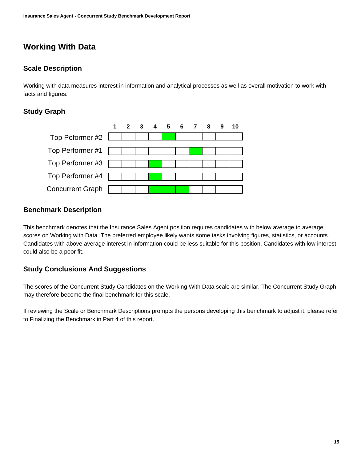# **Working With Data**

#### <span id="page-14-0"></span>**Scale Description**

Working with data measures interest in information and analytical processes as well as overall motivation to work with facts and figures.

#### **Study Graph**

![](_page_14_Figure_5.jpeg)

#### **Benchmark Description**

This benchmark denotes that the Insurance Sales Agent position requires candidates with below average to average scores on Working with Data. The preferred employee likely wants some tasks involving figures, statistics, or accounts. Candidates with above average interest in information could be less suitable for this position. Candidates with low interest could also be a poor fit.

#### **Study Conclusions And Suggestions**

The scores of the Concurrent Study Candidates on the Working With Data scale are similar. The Concurrent Study Graph may therefore become the final benchmark for this scale.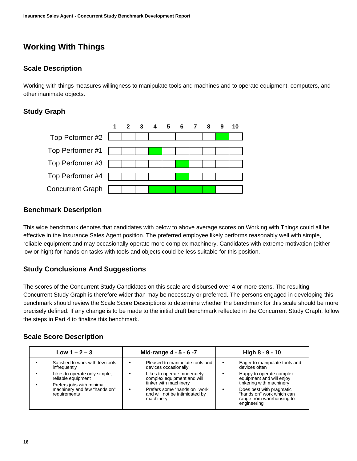# **Working With Things**

#### <span id="page-15-0"></span>**Scale Description**

Working with things measures willingness to manipulate tools and machines and to operate equipment, computers, and other inanimate objects.

#### **Study Graph**

![](_page_15_Figure_5.jpeg)

#### **Benchmark Description**

This wide benchmark denotes that candidates with below to above average scores on Working with Things could all be effective in the Insurance Sales Agent position. The preferred employee likely performs reasonably well with simple, reliable equipment and may occasionally operate more complex machinery. Candidates with extreme motivation (either low or high) for hands-on tasks with tools and objects could be less suitable for this position.

#### **Study Conclusions And Suggestions**

The scores of the Concurrent Study Candidates on this scale are disbursed over 4 or more stens. The resulting Concurrent Study Graph is therefore wider than may be necessary or preferred. The persons engaged in developing this benchmark should review the Scale Score Descriptions to determine whether the benchmark for this scale should be more precisely defined. If any change is to be made to the initial draft benchmark reflected in the Concurrent Study Graph, follow the steps in Part 4 to finalize this benchmark.

| Low $1 - 2 - 3$                                                                                                                                                                      | Mid-range 4 - 5 - 6 -7                                                                                                                                                                                                            | High $8 - 9 - 10$                                                                                                                                                                                                                       |
|--------------------------------------------------------------------------------------------------------------------------------------------------------------------------------------|-----------------------------------------------------------------------------------------------------------------------------------------------------------------------------------------------------------------------------------|-----------------------------------------------------------------------------------------------------------------------------------------------------------------------------------------------------------------------------------------|
| Satisfied to work with few tools<br>infrequently<br>Likes to operate only simple,<br>reliable equipment<br>Prefers jobs with minimal<br>machinery and few "hands on"<br>requirements | Pleased to manipulate tools and<br>٠<br>devices occasionally<br>Likes to operate moderately<br>complex equipment and will<br>tinker with machinery<br>Prefers some "hands on" work<br>and will not be intimidated by<br>machinery | Eager to manipulate tools and<br>devices often<br>Happy to operate complex<br>equipment and will enjoy<br>tinkering with machinery<br>Does best with pragmatic<br>"hands on" work which can<br>range from warehousing to<br>engineering |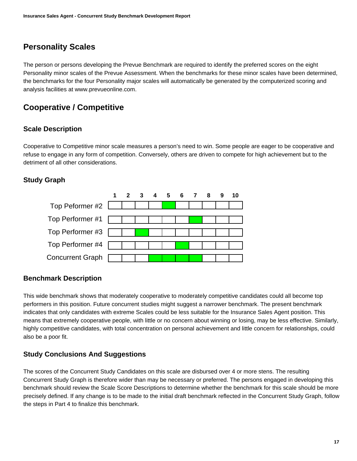# **Personality Scales**

<span id="page-16-0"></span>The person or persons developing the Prevue Benchmark are required to identify the preferred scores on the eight Personality minor scales of the Prevue Assessment. When the benchmarks for these minor scales have been determined, the benchmarks for the four Personality major scales will automatically be generated by the computerized scoring and analysis facilities at www.prevueonline.com.

# **Cooperative / Competitive**

#### <span id="page-16-1"></span>**Scale Description**

Cooperative to Competitive minor scale measures a person's need to win. Some people are eager to be cooperative and refuse to engage in any form of competition. Conversely, others are driven to compete for high achievement but to the detriment of all other considerations.

#### **Study Graph**

![](_page_16_Figure_7.jpeg)

#### **Benchmark Description**

This wide benchmark shows that moderately cooperative to moderately competitive candidates could all become top performers in this position. Future concurrent studies might suggest a narrower benchmark. The present benchmark indicates that only candidates with extreme Scales could be less suitable for the Insurance Sales Agent position. This means that extremely cooperative people, with little or no concern about winning or losing, may be less effective. Similarly, highly competitive candidates, with total concentration on personal achievement and little concern for relationships, could also be a poor fit.

#### **Study Conclusions And Suggestions**

The scores of the Concurrent Study Candidates on this scale are disbursed over 4 or more stens. The resulting Concurrent Study Graph is therefore wider than may be necessary or preferred. The persons engaged in developing this benchmark should review the Scale Score Descriptions to determine whether the benchmark for this scale should be more precisely defined. If any change is to be made to the initial draft benchmark reflected in the Concurrent Study Graph, follow the steps in Part 4 to finalize this benchmark.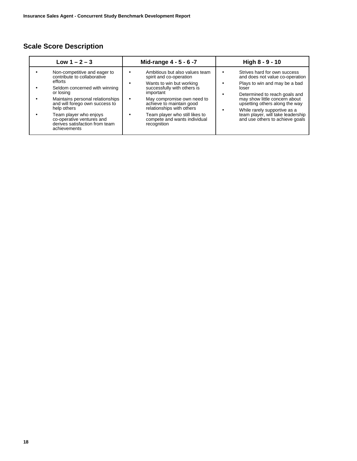| Low $1 - 2 - 3$                                                                                                                                                                                                                                                                                                    | Mid-range 4 - 5 - 6 -7                                                                                                                                                                                                                                                                                    | High 8 - 9 - 10                                                                                                                                                                                                                                                                                                       |
|--------------------------------------------------------------------------------------------------------------------------------------------------------------------------------------------------------------------------------------------------------------------------------------------------------------------|-----------------------------------------------------------------------------------------------------------------------------------------------------------------------------------------------------------------------------------------------------------------------------------------------------------|-----------------------------------------------------------------------------------------------------------------------------------------------------------------------------------------------------------------------------------------------------------------------------------------------------------------------|
| Non-competitive and eager to<br>contribute to collaborative<br>efforts<br>Seldom concerned with winning<br>or losing<br>Maintains personal relationships<br>and will forego own success to<br>help others<br>Team player who enjoys<br>co-operative ventures and<br>derives satisfaction from team<br>achievements | Ambitious but also values team<br>spirit and co-operation<br>Wants to win but working<br>successfully with others is<br>important<br>May compromise own need to<br>achieve to maintain good<br>relationships with others<br>Team player who still likes to<br>compete and wants individual<br>recognition | Strives hard for own success<br>and does not value co-operation<br>Plays to win and may be a bad<br>loser<br>Determined to reach goals and<br>may show little concern about<br>upsetting others along the way<br>While rarely supportive as a<br>team player, will take leadership<br>and use others to achieve goals |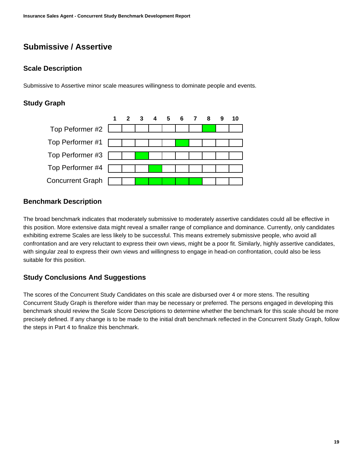# **Submissive / Assertive**

#### <span id="page-18-0"></span>**Scale Description**

Submissive to Assertive minor scale measures willingness to dominate people and events.

#### **Study Graph**

![](_page_18_Figure_5.jpeg)

#### **Benchmark Description**

The broad benchmark indicates that moderately submissive to moderately assertive candidates could all be effective in this position. More extensive data might reveal a smaller range of compliance and dominance. Currently, only candidates exhibiting extreme Scales are less likely to be successful. This means extremely submissive people, who avoid all confrontation and are very reluctant to express their own views, might be a poor fit. Similarly, highly assertive candidates, with singular zeal to express their own views and willingness to engage in head-on confrontation, could also be less suitable for this position.

#### **Study Conclusions And Suggestions**

The scores of the Concurrent Study Candidates on this scale are disbursed over 4 or more stens. The resulting Concurrent Study Graph is therefore wider than may be necessary or preferred. The persons engaged in developing this benchmark should review the Scale Score Descriptions to determine whether the benchmark for this scale should be more precisely defined. If any change is to be made to the initial draft benchmark reflected in the Concurrent Study Graph, follow the steps in Part 4 to finalize this benchmark.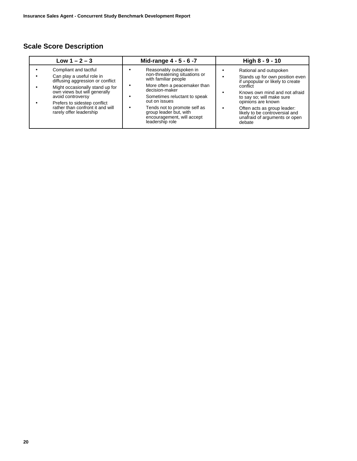| Low $1 - 2 - 3$                                                                                                                                                                                                                                                               | Mid-range 4 - 5 - 6 -7                                                                                                                                                                                                                                                                         | High 8 - 9 - 10                                                                                                                                                                                                                                                                                           |
|-------------------------------------------------------------------------------------------------------------------------------------------------------------------------------------------------------------------------------------------------------------------------------|------------------------------------------------------------------------------------------------------------------------------------------------------------------------------------------------------------------------------------------------------------------------------------------------|-----------------------------------------------------------------------------------------------------------------------------------------------------------------------------------------------------------------------------------------------------------------------------------------------------------|
| Compliant and tactful<br>Can play a useful role in<br>diffusing aggression or conflict<br>Might occasionally stand up for<br>own views but will generally<br>avoid controversy<br>Prefers to sidestep conflict<br>rather than confront it and will<br>rarely offer leadership | Reasonably outspoken in<br>non-threatening situations or<br>with familiar people<br>More often a peacemaker than<br>decision-maker<br>Sometimes reluctant to speak<br>out on issues<br>Tends not to promote self as<br>group leader but, with<br>encouragement, will accept<br>leadership role | Rational and outspoken<br>Stands up for own position even<br>if unpopular or likely to create<br>conflict<br>Knows own mind and not afraid<br>to say so; will make sure<br>opinions are known<br>Often acts as group leader:<br>likely to be controversial and<br>unafraid of arguments or open<br>debate |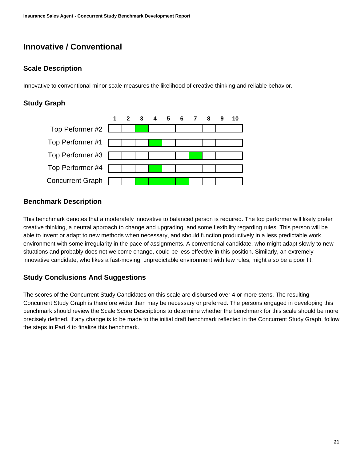# **Innovative / Conventional**

#### <span id="page-20-0"></span>**Scale Description**

Innovative to conventional minor scale measures the likelihood of creative thinking and reliable behavior.

#### **Study Graph**

![](_page_20_Figure_5.jpeg)

#### **Benchmark Description**

This benchmark denotes that a moderately innovative to balanced person is required. The top performer will likely prefer creative thinking, a neutral approach to change and upgrading, and some flexibility regarding rules. This person will be able to invent or adapt to new methods when necessary, and should function productively in a less predictable work environment with some irregularity in the pace of assignments. A conventional candidate, who might adapt slowly to new situations and probably does not welcome change, could be less effective in this position. Similarly, an extremely innovative candidate, who likes a fast-moving, unpredictable environment with few rules, might also be a poor fit.

#### **Study Conclusions And Suggestions**

The scores of the Concurrent Study Candidates on this scale are disbursed over 4 or more stens. The resulting Concurrent Study Graph is therefore wider than may be necessary or preferred. The persons engaged in developing this benchmark should review the Scale Score Descriptions to determine whether the benchmark for this scale should be more precisely defined. If any change is to be made to the initial draft benchmark reflected in the Concurrent Study Graph, follow the steps in Part 4 to finalize this benchmark.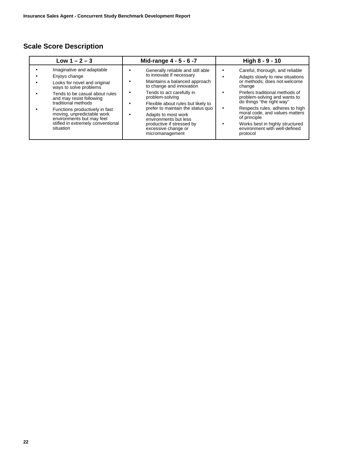| Low $1 - 2 - 3$                                                                                                                                                                                                                                                                                                                          | Mid-range 4 - 5 - 6 -7                                                                                                                                                                                                                                                                                                                                                            | High 8 - 9 - 10                                                                                                                                                                                                                                                                                                                                                                  |
|------------------------------------------------------------------------------------------------------------------------------------------------------------------------------------------------------------------------------------------------------------------------------------------------------------------------------------------|-----------------------------------------------------------------------------------------------------------------------------------------------------------------------------------------------------------------------------------------------------------------------------------------------------------------------------------------------------------------------------------|----------------------------------------------------------------------------------------------------------------------------------------------------------------------------------------------------------------------------------------------------------------------------------------------------------------------------------------------------------------------------------|
| Imaginative and adaptable<br>Enjoys change<br>Looks for novel and original<br>ways to solve problems<br>Tends to be casual about rules<br>and may resist following<br>traditional methods<br>Functions productively in fast<br>moving, unpredictable work<br>environments but may feel<br>stifled in extremely conventional<br>situation | Generally reliable and still able<br>to innovate if necessary<br>Maintains a balanced approach<br>to change and innovation<br>Tends to act carefully in<br>٠<br>problem-solving<br>Flexible about rules but likely to<br>prefer to maintain the status quo<br>Adapts to most work<br>environments but less<br>productive if stressed by<br>excessive change or<br>micromanagement | Careful, thorough, and reliable<br>Adapts slowly to new situations<br>or methods; does not welcome<br>change<br>Prefers traditional methods of<br>problem-solving and wants to<br>do things "the right way"<br>Respects rules, adheres to high<br>moral code, and values matters<br>of principle<br>Works best in highly structured<br>environment with well-defined<br>protocol |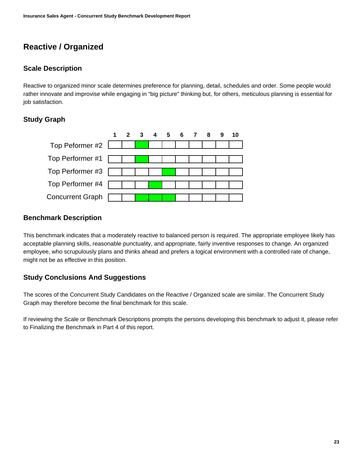# **Reactive / Organized**

#### <span id="page-22-0"></span>**Scale Description**

Reactive to organized minor scale determines preference for planning, detail, schedules and order. Some people would rather innovate and improvise while engaging in "big picture" thinking but, for others, meticulous planning is essential for job satisfaction.

#### **Study Graph**

![](_page_22_Figure_5.jpeg)

#### **Benchmark Description**

This benchmark indicates that a moderately reactive to balanced person is required. The appropriate employee likely has acceptable planning skills, reasonable punctuality, and appropriate, fairly inventive responses to change. An organized employee, who scrupulously plans and thinks ahead and prefers a logical environment with a controlled rate of change, might not be as effective in this position.

#### **Study Conclusions And Suggestions**

The scores of the Concurrent Study Candidates on the Reactive / Organized scale are similar. The Concurrent Study Graph may therefore become the final benchmark for this scale.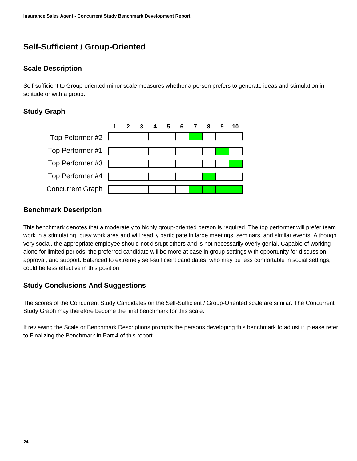# **Self-Sufficient / Group-Oriented**

#### <span id="page-23-0"></span>**Scale Description**

Self-sufficient to Group-oriented minor scale measures whether a person prefers to generate ideas and stimulation in solitude or with a group.

#### **Study Graph**

![](_page_23_Figure_5.jpeg)

#### **Benchmark Description**

This benchmark denotes that a moderately to highly group-oriented person is required. The top performer will prefer team work in a stimulating, busy work area and will readily participate in large meetings, seminars, and similar events. Although very social, the appropriate employee should not disrupt others and is not necessarily overly genial. Capable of working alone for limited periods, the preferred candidate will be more at ease in group settings with opportunity for discussion, approval, and support. Balanced to extremely self-sufficient candidates, who may be less comfortable in social settings, could be less effective in this position.

#### **Study Conclusions And Suggestions**

The scores of the Concurrent Study Candidates on the Self-Sufficient / Group-Oriented scale are similar. The Concurrent Study Graph may therefore become the final benchmark for this scale.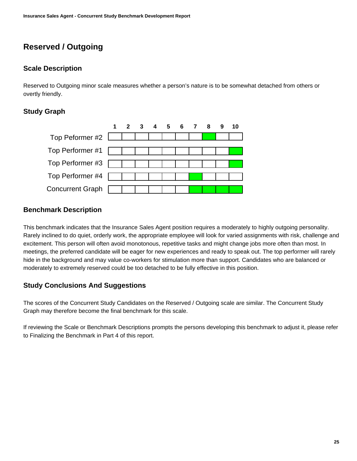# **Reserved / Outgoing**

#### <span id="page-24-0"></span>**Scale Description**

Reserved to Outgoing minor scale measures whether a person's nature is to be somewhat detached from others or overtly friendly.

#### **Study Graph**

|                                       | 1 2 3 4 5 6 7 8 9 |  |  |  | 10 |
|---------------------------------------|-------------------|--|--|--|----|
| Top Peformer #2 $\boxed{\phantom{1}}$ |                   |  |  |  |    |
|                                       |                   |  |  |  |    |
|                                       |                   |  |  |  |    |
|                                       |                   |  |  |  |    |
| Top Performer #3                      |                   |  |  |  |    |
|                                       |                   |  |  |  |    |
| Top Performer #4                      |                   |  |  |  |    |
|                                       |                   |  |  |  |    |
| <b>Concurrent Graph</b>               |                   |  |  |  |    |
|                                       |                   |  |  |  |    |

#### **Benchmark Description**

This benchmark indicates that the Insurance Sales Agent position requires a moderately to highly outgoing personality. Rarely inclined to do quiet, orderly work, the appropriate employee will look for varied assignments with risk, challenge and excitement. This person will often avoid monotonous, repetitive tasks and might change jobs more often than most. In meetings, the preferred candidate will be eager for new experiences and ready to speak out. The top performer will rarely hide in the background and may value co-workers for stimulation more than support. Candidates who are balanced or moderately to extremely reserved could be too detached to be fully effective in this position.

#### **Study Conclusions And Suggestions**

The scores of the Concurrent Study Candidates on the Reserved / Outgoing scale are similar. The Concurrent Study Graph may therefore become the final benchmark for this scale.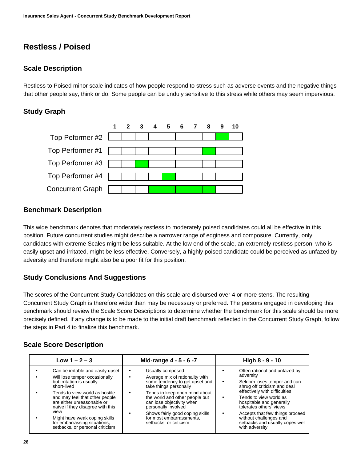# **Restless / Poised**

#### <span id="page-25-0"></span>**Scale Description**

Restless to Poised minor scale indicates of how people respond to stress such as adverse events and the negative things that other people say, think or do. Some people can be unduly sensitive to this stress while others may seem impervious.

#### **Study Graph**

![](_page_25_Figure_5.jpeg)

#### **Benchmark Description**

This wide benchmark denotes that moderately restless to moderately poised candidates could all be effective in this position. Future concurrent studies might describe a narrower range of edginess and composure. Currently, only candidates with extreme Scales might be less suitable. At the low end of the scale, an extremely restless person, who is easily upset and irritated, might be less effective. Conversely, a highly poised candidate could be perceived as unfazed by adversity and therefore might also be a poor fit for this position.

#### **Study Conclusions And Suggestions**

The scores of the Concurrent Study Candidates on this scale are disbursed over 4 or more stens. The resulting Concurrent Study Graph is therefore wider than may be necessary or preferred. The persons engaged in developing this benchmark should review the Scale Score Descriptions to determine whether the benchmark for this scale should be more precisely defined. If any change is to be made to the initial draft benchmark reflected in the Concurrent Study Graph, follow the steps in Part 4 to finalize this benchmark.

| Low $1 - 2 - 3$                                                                                                                                                                                              | Mid-range 4 - 5 - 6 -7                                                                                                                                                      | High 8 - 9 - 10                                                                                                                                                                                             |
|--------------------------------------------------------------------------------------------------------------------------------------------------------------------------------------------------------------|-----------------------------------------------------------------------------------------------------------------------------------------------------------------------------|-------------------------------------------------------------------------------------------------------------------------------------------------------------------------------------------------------------|
| Can be irritable and easily upset<br>Will lose temper occasionally<br>but irritation is usually<br>short-lived<br>Tends to view world as hostile                                                             | Usually composed<br>Average mix of rationality with<br>some tendency to get upset and<br>take things personally<br>Tends to keep open mind about<br>$\bullet$               | Often rational and unfazed by<br>adversity<br>Seldom loses temper and can<br>shrug off criticism and deal<br>effectively with difficulties                                                                  |
| and may feel that other people<br>are either unreasonable or<br>naïve if they disagree with this<br>view<br>Might have weak coping skills<br>for embarrassing situations,<br>setbacks, or personal criticism | the world and other people but<br>can lose objectivity when<br>personally involved<br>Shows fairly good coping skills<br>for most embarrassments.<br>setbacks, or criticism | Tends to view world as<br>hospitable and generally<br>tolerates others <sup>7</sup> views<br>Accepts that few things proceed<br>without challenges and<br>setbacks and usually copes well<br>with adversity |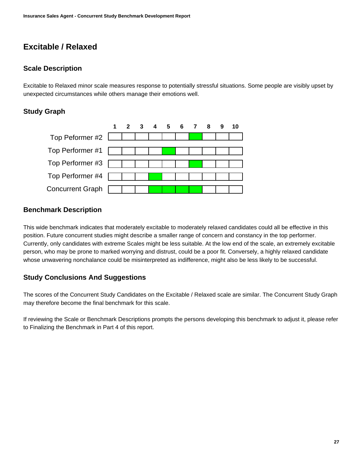# **Excitable / Relaxed**

#### <span id="page-26-0"></span>**Scale Description**

Excitable to Relaxed minor scale measures response to potentially stressful situations. Some people are visibly upset by unexpected circumstances while others manage their emotions well.

#### **Study Graph**

![](_page_26_Figure_5.jpeg)

#### **Benchmark Description**

This wide benchmark indicates that moderately excitable to moderately relaxed candidates could all be effective in this position. Future concurrent studies might describe a smaller range of concern and constancy in the top performer. Currently, only candidates with extreme Scales might be less suitable. At the low end of the scale, an extremely excitable person, who may be prone to marked worrying and distrust, could be a poor fit. Conversely, a highly relaxed candidate whose unwavering nonchalance could be misinterpreted as indifference, might also be less likely to be successful.

#### **Study Conclusions And Suggestions**

The scores of the Concurrent Study Candidates on the Excitable / Relaxed scale are similar. The Concurrent Study Graph may therefore become the final benchmark for this scale.